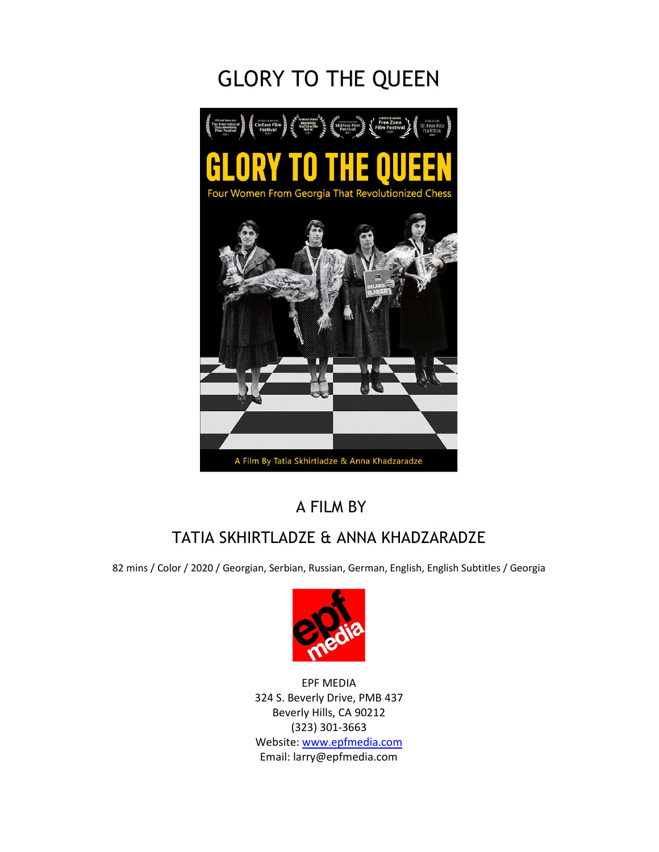# GLORY TO THE QUEEN



### A FILM BY

## TATIA SKHIRTLADZE & ANNA KHADZARADZE

82 mins / Color / 2020 / Georgian, Serbian, Russian, German, English, English Subtitles / Georgia



EPF MEDIA 324 S. Beverly Drive, PMB 437 Beverly Hills, CA 90212 (323) 301-3663 Website: www.epfmedia.com Email: larry@epfmedia.com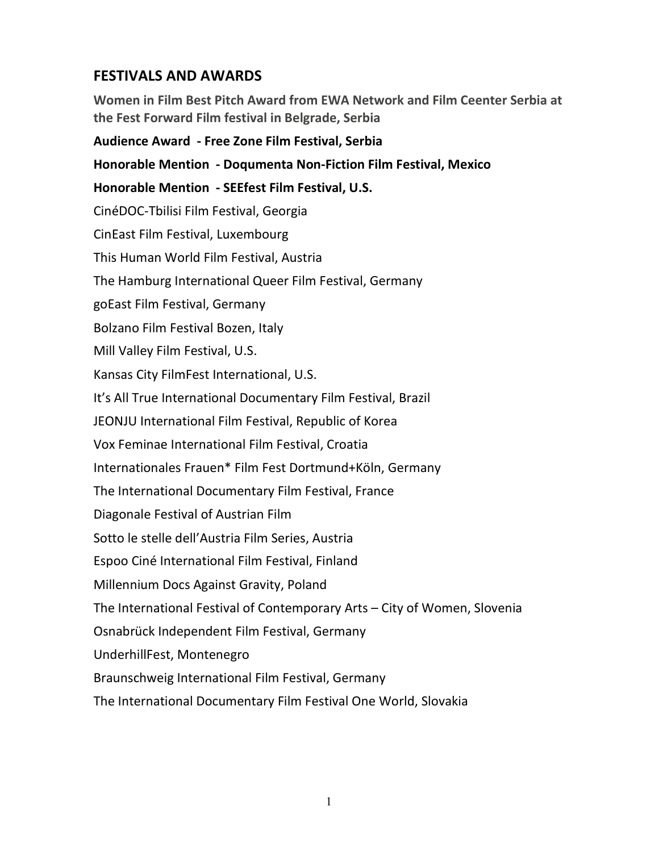### **FESTIVALS AND AWARDS**

**Women in Film Best Pitch Award from EWA Network and Film Ceenter Serbia at the Fest Forward Film festival in Belgrade, Serbia** 

## **Audience Award - Free Zone Film Festival, Serbia Honorable Mention - Doqumenta Non-Fiction Film Festival, Mexico Honorable Mention - SEEfest Film Festival, U.S.**  CinéDOC-Tbilisi Film Festival, Georgia CinEast Film Festival, Luxembourg This Human World Film Festival, Austria The Hamburg International Queer Film Festival, Germany goEast Film Festival, Germany Bolzano Film Festival Bozen, Italy Mill Valley Film Festival, U.S. Kansas City FilmFest International, U.S. It's All True International Documentary Film Festival, Brazil JEONJU International Film Festival, Republic of Korea Vox Feminae International Film Festival, Croatia Internationales Frauen\* Film Fest Dortmund+Köln, Germany The International Documentary Film Festival, France Diagonale Festival of Austrian Film Sotto le stelle dell'Austria Film Series, Austria Espoo Ciné International Film Festival, Finland Millennium Docs Against Gravity, Poland The International Festival of Contemporary Arts – City of Women, Slovenia Osnabrück Independent Film Festival, Germany UnderhillFest, Montenegro Braunschweig International Film Festival, Germany The International Documentary Film Festival One World, Slovakia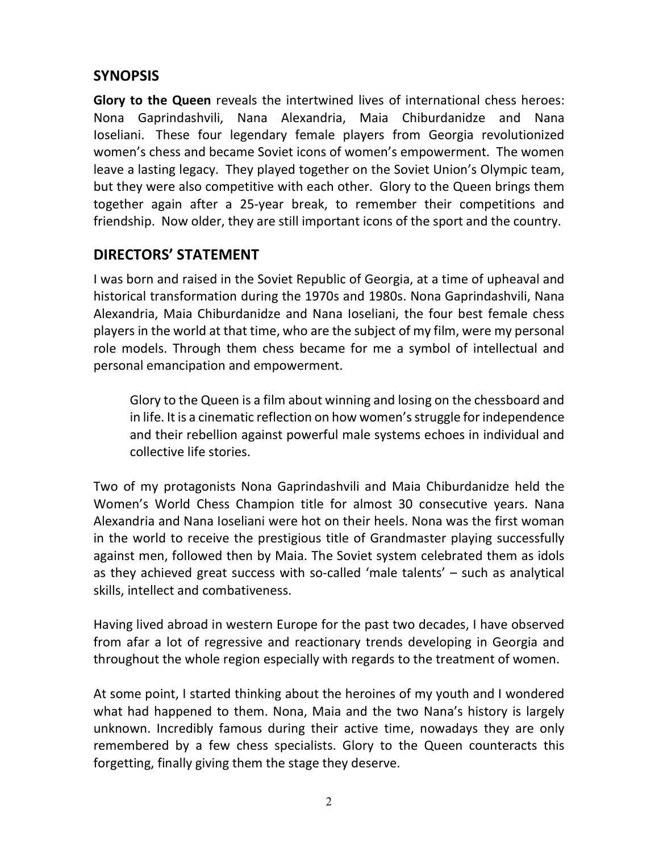### **SYNOPSIS**

**Glory to the Queen** reveals the intertwined lives of international chess heroes: Nona Gaprindashvili, Nana Alexandria, Maia Chiburdanidze and Nana Ioseliani. These four legendary female players from Georgia revolutionized women's chess and became Soviet icons of women's empowerment. The women leave a lasting legacy. They played together on the Soviet Union's Olympic team, but they were also competitive with each other. Glory to the Queen brings them together again after a 25-year break, to remember their competitions and friendship. Now older, they are still important icons of the sport and the country.

### **DIRECTORS' STATEMENT**

I was born and raised in the Soviet Republic of Georgia, at a time of upheaval and historical transformation during the 1970s and 1980s. Nona Gaprindashvili, Nana Alexandria, Maia Chiburdanidze and Nana Ioseliani, the four best female chess players in the world at that time, who are the subject of my film, were my personal role models. Through them chess became for me a symbol of intellectual and personal emancipation and empowerment.

Glory to the Queen is a film about winning and losing on the chessboard and in life. It is a cinematic reflection on how women's struggle for independence and their rebellion against powerful male systems echoes in individual and collective life stories.

Two of my protagonists Nona Gaprindashvili and Maia Chiburdanidze held the Women's World Chess Champion title for almost 30 consecutive years. Nana Alexandria and Nana Ioseliani were hot on their heels. Nona was the first woman in the world to receive the prestigious title of Grandmaster playing successfully against men, followed then by Maia. The Soviet system celebrated them as idols as they achieved great success with so-called 'male talents' – such as analytical skills, intellect and combativeness.

Having lived abroad in western Europe for the past two decades, I have observed from afar a lot of regressive and reactionary trends developing in Georgia and throughout the whole region especially with regards to the treatment of women.

At some point, I started thinking about the heroines of my youth and I wondered what had happened to them. Nona, Maia and the two Nana's history is largely unknown. Incredibly famous during their active time, nowadays they are only remembered by a few chess specialists. Glory to the Queen counteracts this forgetting, finally giving them the stage they deserve.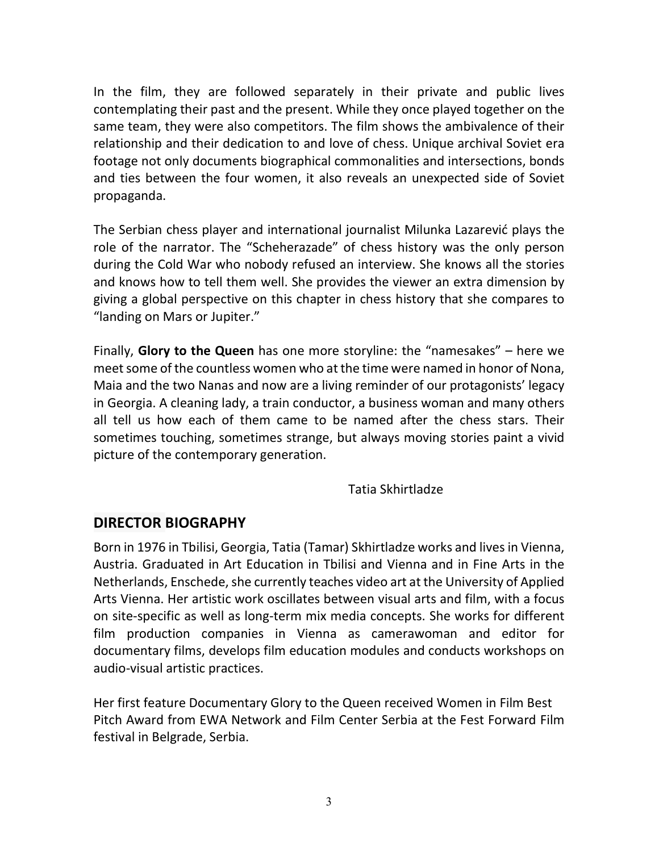In the film, they are followed separately in their private and public lives contemplating their past and the present. While they once played together on the same team, they were also competitors. The film shows the ambivalence of their relationship and their dedication to and love of chess. Unique archival Soviet era footage not only documents biographical commonalities and intersections, bonds and ties between the four women, it also reveals an unexpected side of Soviet propaganda.

The Serbian chess player and international journalist Milunka Lazarević plays the role of the narrator. The "Scheherazade" of chess history was the only person during the Cold War who nobody refused an interview. She knows all the stories and knows how to tell them well. She provides the viewer an extra dimension by giving a global perspective on this chapter in chess history that she compares to "landing on Mars or Jupiter."

Finally, **Glory to the Queen** has one more storyline: the "namesakes" – here we meet some of the countless women who at the time were named in honor of Nona, Maia and the two Nanas and now are a living reminder of our protagonists' legacy in Georgia. A cleaning lady, a train conductor, a business woman and many others all tell us how each of them came to be named after the chess stars. Their sometimes touching, sometimes strange, but always moving stories paint a vivid picture of the contemporary generation.

Tatia Skhirtladze

#### **DIRECTOR BIOGRAPHY**

Born in 1976 in Tbilisi, Georgia, Tatia (Tamar) Skhirtladze works and lives in Vienna, Austria. Graduated in Art Education in Tbilisi and Vienna and in Fine Arts in the Netherlands, Enschede, she currently teaches video art at the University of Applied Arts Vienna. Her artistic work oscillates between visual arts and film, with a focus on site-specific as well as long-term mix media concepts. She works for different film production companies in Vienna as camerawoman and editor for documentary films, develops film education modules and conducts workshops on audio-visual artistic practices.

Her first feature Documentary Glory to the Queen received Women in Film Best Pitch Award from EWA Network and Film Center Serbia at the Fest Forward Film festival in Belgrade, Serbia.